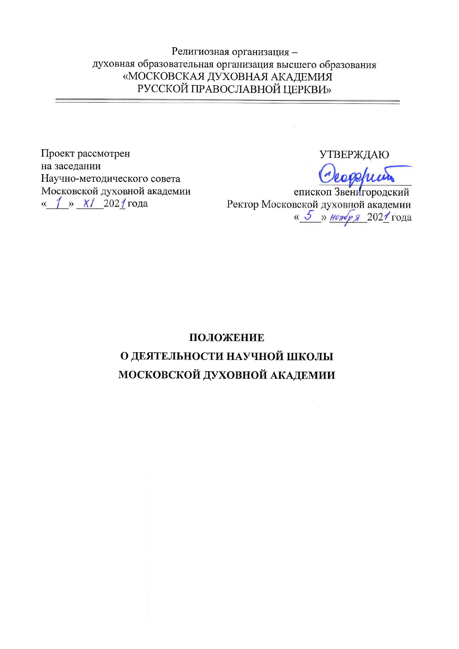Религиозная организация духовная образовательная организация высшего образования «МОСКОВСКАЯ ДУХОВНАЯ АКАДЕМИЯ РУССКОЙ ПРАВОСЛАВНОЙ ЦЕРКВИ»

Проект рассмотрен на заседании Научно-методического совета Московской духовной академии « 1 » X/ 2021 года

**УТВЕРЖДАЮ** 

епископ Звенигородский Ректор Московской духовной академии « 5 » нонбря 2021 года

# ПОЛОЖЕНИЕ О ДЕЯТЕЛЬНОСТИ НАУЧНОЙ ШКОЛЫ МОСКОВСКОЙ ДУХОВНОЙ АКАДЕМИИ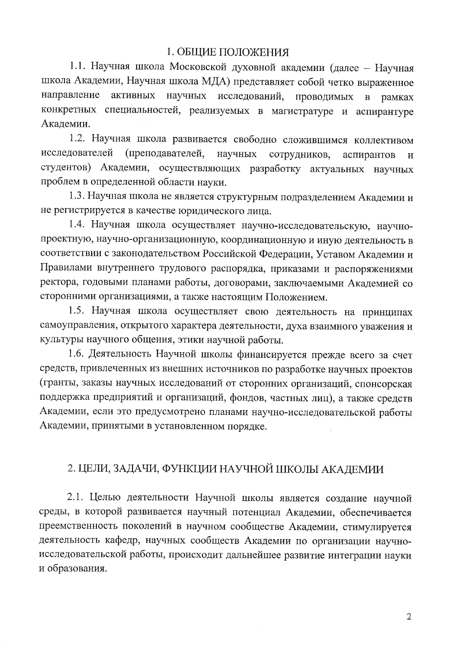#### 1. ОБЩИЕ ПОЛОЖЕНИЯ

1.1. Научная школа Московской духовной академии (далее - Научная школа Академии, Научная школа МДА) представляет собой четко выраженное направление активных научных исследований, Проводимых  $\, {\bf B}$ рамках конкретных специальностей, реализуемых в магистратуре и аспирантуре Академии.

1.2. Научная школа развивается свободно сложившимся коллективом исследователей (преподавателей, научных сотрудников. аспирантов  $\mathbf{H}$ студентов) Академии, осуществляющих разработку актуальных научных проблем в определенной области науки.

1.3. Научная школа не является структурным подразделением Академии и не регистрируется в качестве юридического лица.

1.4. Научная школа осуществляет научно-исследовательскую, научнопроектную, научно-организационную, координационную и иную деятельность в соответствии с законодательством Российской Федерации, Уставом Академии и Правилами внутреннего трудового распорядка, приказами и распоряжениями ректора, годовыми планами работы, договорами, заключаемыми Академией со сторонними организациями, а также настоящим Положением.

1.5. Научная школа осуществляет свою деятельность на принципах самоуправления, открытого характера деятельности, духа взаимного уважения и культуры научного общения, этики научной работы.

1.6. Деятельность Научной школы финансируется прежде всего за счет средств, привлеченных из внешних источников по разработке научных проектов (гранты, заказы научных исследований от сторонних организаций, спонсорская поддержка предприятий и организаций, фондов, частных лиц), а также средств Академии, если это предусмотрено планами научно-исследовательской работы Академии, принятыми в установленном порядке.

#### 2. ЦЕЛИ, ЗАДАЧИ, ФУНКЦИИ НАУЧНОЙ ШКОЛЫ АКАДЕМИИ

2.1. Целью деятельности Научной школы является создание научной среды, в которой развивается научный потенциал Академии, обеспечивается преемственность поколений в научном сообществе Академии, стимулируется деятельность кафедр, научных сообществ Академии по организации научноисследовательской работы, происходит дальнейшее развитие интеграции науки и образования.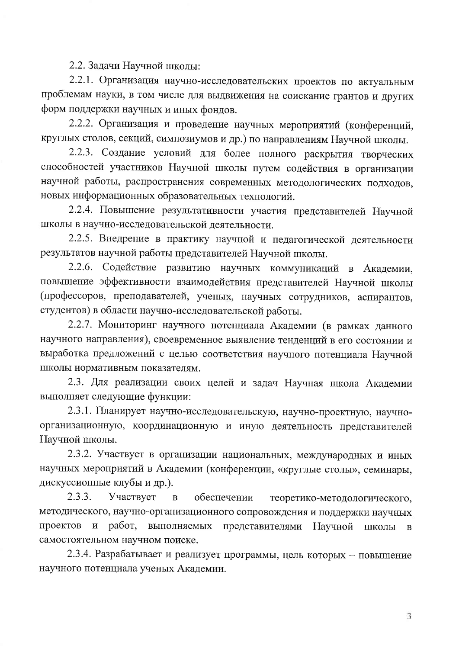2.2. Задачи Научной школы:

2.2.1. Организация научно-исследовательских проектов по актуальным проблемам науки, в том числе для выдвижения на соискание грантов и других форм поддержки научных и иных фондов.

2.2.2. Организация и проведение научных мероприятий (конференций, круглых столов, секций, симпозиумов и др.) по направлениям Научной школы.

2.2.3. Создание условий для более полного раскрытия творческих способностей участников Научной школы путем содействия в организации научной работы, распространения современных методологических подходов, новых информационных образовательных технологий.

2.2.4. Повышение результативности участия представителей Научной школы в научно-исследовательской деятельности.

2.2.5. Внедрение в практику научной и педагогической деятельности результатов научной работы представителей Научной школы.

2.2.6. Содействие развитию научных коммуникаций в Академии, повышение эффективности взаимодействия представителей Научной школы (профессоров, преподавателей, ученых, научных сотрудников, аспирантов, студентов) в области научно-исследовательской работы.

2.2.7. Мониторинг научного потенциала Академии (в рамках данного научного направления), своевременное выявление тенденций в его состоянии и выработка предложений с целью соответствия научного потенциала Научной школы нормативным показателям.

2.3. Для реализации своих целей и задач Научная школа Академии выполняет следующие функции:

2.3.1. Планирует научно-исследовательскую, научно-проектную, научноорганизационную, координационную и иную деятельность представителей Научной школы.

2.3.2. Участвует в организации национальных, международных и иных научных мероприятий в Академии (конференции, «круглые столы», семинары, дискуссионные клубы и др.).

2.3.3. Участвует  $\mathbf{B}$ обеспечении теоретико-методологического, методического, научно-организационного сопровождения и поддержки научных проектов и работ, выполняемых представителями Научной школы  $\, {\bf B}$ самостоятельном научном поиске.

2.3.4. Разрабатывает и реализует программы, цель которых - повышение научного потенциала ученых Академии.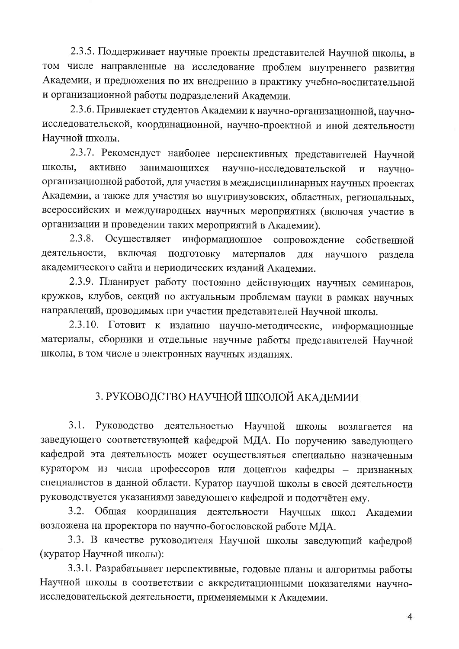2.3.5. Поддерживает научные проекты представителей Научной школы, в том числе направленные на исследование проблем внутреннего развития Академии, и предложения по их внедрению в практику учебно-воспитательной и организационной работы подразделений Академии.

2.3.6. Привлекает студентов Академии к научно-организационной, научноисследовательской, координационной, научно-проектной и иной деятельности Научной школы.

2.3.7. Рекомендует наиболее перспективных представителей Научной ШКОЛЫ. активно занимающихся научно-исследовательской  $\mathbf{M}$ научноорганизационной работой, для участия в междисциплинарных научных проектах Академии, а также для участия во внутривузовских, областных, региональных, всероссийских и международных научных мероприятиях (включая участие в организации и проведении таких мероприятий в Академии).

2.3.8. Осуществляет информационное сопровождение собственной деятельности, включая ПОДГОТОВКУ материалов для научного раздела академического сайта и периодических изданий Академии.

2.3.9. Планирует работу постоянно действующих научных семинаров, кружков, клубов, секций по актуальным проблемам науки в рамках научных направлений, проводимых при участии представителей Научной школы.

2.3.10. Готовит к изданию научно-методические, информационные материалы, сборники и отдельные научные работы представителей Научной школы, в том числе в электронных научных изданиях.

## 3. РУКОВОДСТВО НАУЧНОЙ ШКОЛОЙ АКАДЕМИИ

 $3.1.$ Руководство деятельностью Научной школы возлагается H<sub>a</sub> заведующего соответствующей кафедрой МДА. По поручению заведующего кафедрой эта деятельность может осуществляться специально назначенным куратором из числа профессоров или доцентов кафедры - признанных специалистов в данной области. Куратор научной школы в своей деятельности руководствуется указаниями заведующего кафедрой и подотчётен ему.

3.2. Общая координация деятельности Научных школ Академии возложена на проректора по научно-богословской работе МДА.

3.3. В качестве руководителя Научной школы заведующий кафедрой (куратор Научной школы):

3.3.1. Разрабатывает перспективные, годовые планы и алгоритмы работы Научной школы в соответствии с аккредитационными показателями научноисследовательской деятельности, применяемыми к Академии.